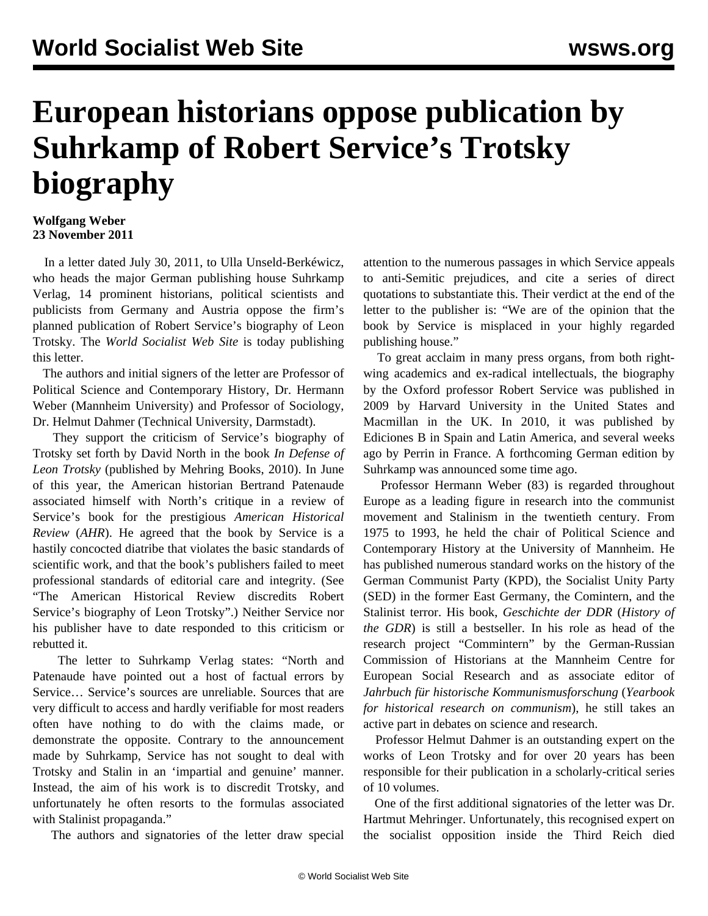## **European historians oppose publication by Suhrkamp of Robert Service's Trotsky biography**

## **Wolfgang Weber 23 November 2011**

 In a letter dated July 30, 2011, to Ulla Unseld-Berkéwicz, who heads the major German publishing house Suhrkamp Verlag, 14 prominent historians, political scientists and publicists from Germany and Austria oppose the firm's planned publication of Robert Service's biography of Leon Trotsky. The *World Socialist Web Site* is today publishing this letter.

 The authors and initial signers of the letter are Professor of Political Science and Contemporary History, Dr. Hermann Weber (Mannheim University) and Professor of Sociology, Dr. Helmut Dahmer (Technical University, Darmstadt).

 They support the criticism of Service's biography of Trotsky set forth by David North in the book *In Defense of Leon Trotsky* (published by Mehring Books, 2010). In June of this year, the American historian Bertrand Patenaude associated himself with North's critique in a review of Service's book for the prestigious *American Historical Review* (*AHR*). He agreed that the book by Service is a hastily concocted diatribe that violates the basic standards of scientific work, and that the book's publishers failed to meet professional standards of editorial care and integrity. (See ["The American Historical Review discredits Robert](/en/articles/2011/jun2011/pers-j28.shtml) [Service's biography of Leon Trotsky"](/en/articles/2011/jun2011/pers-j28.shtml).) Neither Service nor his publisher have to date responded to this criticism or rebutted it.

 The letter to Suhrkamp Verlag states: "North and Patenaude have pointed out a host of factual errors by Service… Service's sources are unreliable. Sources that are very difficult to access and hardly verifiable for most readers often have nothing to do with the claims made, or demonstrate the opposite. Contrary to the announcement made by Suhrkamp, Service has not sought to deal with Trotsky and Stalin in an 'impartial and genuine' manner. Instead, the aim of his work is to discredit Trotsky, and unfortunately he often resorts to the formulas associated with Stalinist propaganda."

The authors and signatories of the letter draw special

attention to the numerous passages in which Service appeals to anti-Semitic prejudices, and cite a series of direct quotations to substantiate this. Their verdict at the end of the letter to the publisher is: "We are of the opinion that the book by Service is misplaced in your highly regarded publishing house."

 To great acclaim in many press organs, from both rightwing academics and ex-radical intellectuals, the biography by the Oxford professor Robert Service was published in 2009 by Harvard University in the United States and Macmillan in the UK. In 2010, it was published by Ediciones B in Spain and Latin America, and several weeks ago by Perrin in France. A forthcoming German edition by Suhrkamp was announced some time ago.

 Professor Hermann Weber (83) is regarded throughout Europe as a leading figure in research into the communist movement and Stalinism in the twentieth century. From 1975 to 1993, he held the chair of Political Science and Contemporary History at the University of Mannheim. He has published numerous standard works on the history of the German Communist Party (KPD), the Socialist Unity Party (SED) in the former East Germany, the Comintern, and the Stalinist terror. His book, *Geschichte der DDR* (*History of the GDR*) is still a bestseller. In his role as head of the research project "Commintern" by the German-Russian Commission of Historians at the Mannheim Centre for European Social Research and as associate editor of *Jahrbuch für historische Kommunismusforschung* (*Yearbook for historical research on communism*), he still takes an active part in debates on science and research.

 Professor Helmut Dahmer is an outstanding expert on the works of Leon Trotsky and for over 20 years has been responsible for their publication in a scholarly-critical series of 10 volumes.

 One of the first additional signatories of the letter was Dr. Hartmut Mehringer. Unfortunately, this recognised expert on the socialist opposition inside the Third Reich died